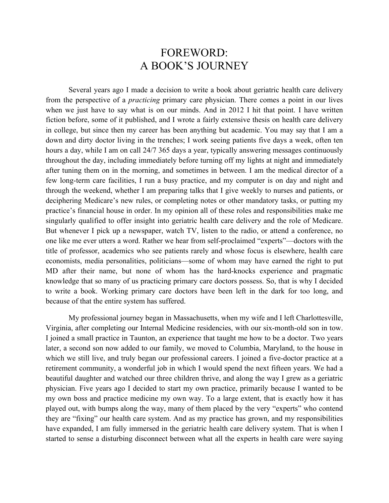## FOREWORD: A BOOK'S JOURNEY

Several years ago I made a decision to write a book about geriatric health care delivery from the perspective of a *practicing* primary care physician. There comes a point in our lives when we just have to say what is on our minds. And in 2012 I hit that point. I have written fiction before, some of it published, and I wrote a fairly extensive thesis on health care delivery in college, but since then my career has been anything but academic. You may say that I am a down and dirty doctor living in the trenches; I work seeing patients five days a week, often ten hours a day, while I am on call 24/7 365 days a year, typically answering messages continuously throughout the day, including immediately before turning off my lights at night and immediately after tuning them on in the morning, and sometimes in between. I am the medical director of a few long-term care facilities, I run a busy practice, and my computer is on day and night and through the weekend, whether I am preparing talks that I give weekly to nurses and patients, or deciphering Medicare's new rules, or completing notes or other mandatory tasks, or putting my practice's financial house in order. In my opinion all of these roles and responsibilities make me singularly qualified to offer insight into geriatric health care delivery and the role of Medicare. But whenever I pick up a newspaper, watch TV, listen to the radio, or attend a conference, no one like me ever utters a word. Rather we hear from self-proclaimed "experts"—doctors with the title of professor, academics who see patients rarely and whose focus is elsewhere, health care economists, media personalities, politicians—some of whom may have earned the right to put MD after their name, but none of whom has the hard-knocks experience and pragmatic knowledge that so many of us practicing primary care doctors possess. So, that is why I decided to write a book. Working primary care doctors have been left in the dark for too long, and because of that the entire system has suffered.

My professional journey began in Massachusetts, when my wife and I left Charlottesville, Virginia, after completing our Internal Medicine residencies, with our six-month-old son in tow. I joined a small practice in Taunton, an experience that taught me how to be a doctor. Two years later, a second son now added to our family, we moved to Columbia, Maryland, to the house in which we still live, and truly began our professional careers. I joined a five-doctor practice at a retirement community, a wonderful job in which I would spend the next fifteen years. We had a beautiful daughter and watched our three children thrive, and along the way I grew as a geriatric physician. Five years ago I decided to start my own practice, primarily because I wanted to be my own boss and practice medicine my own way. To a large extent, that is exactly how it has played out, with bumps along the way, many of them placed by the very "experts" who contend they are "fixing" our health care system. And as my practice has grown, and my responsibilities have expanded, I am fully immersed in the geriatric health care delivery system. That is when I started to sense a disturbing disconnect between what all the experts in health care were saying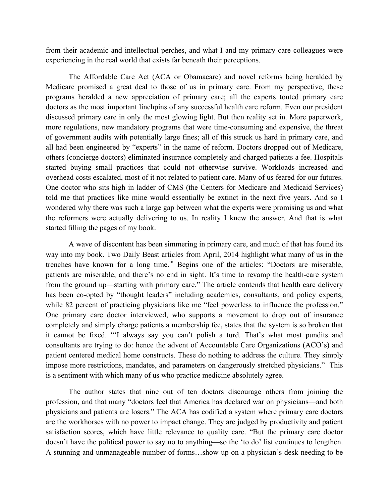from their academic and intellectual perches, and what I and my primary care colleagues were experiencing in the real world that exists far beneath their perceptions.

The Affordable Care Act (ACA or Obamacare) and novel reforms being heralded by Medicare promised a great deal to those of us in primary care. From my perspective, these programs heralded a new appreciation of primary care; all the experts touted primary care doctors as the most important linchpins of any successful health care reform. Even our president discussed primary care in only the most glowing light. But then reality set in. More paperwork, more regulations, new mandatory programs that were time-consuming and expensive, the threat of government audits with potentially large fines; all of this struck us hard in primary care, and all had been engineered by "experts" in the name of reform. Doctors dropped out of Medicare, others (concierge doctors) eliminated insurance completely and charged patients a fee. Hospitals started buying small practices that could not otherwise survive. Workloads increased and overhead costs escalated, most of it not related to patient care. Many of us feared for our futures. One doctor who sits high in ladder of CMS (the Centers for Medicare and Medicaid Services) told me that practices like mine would essentially be extinct in the next five years. And so I wondered why there was such a large gap between what the experts were promising us and what the reformers were actually delivering to us. In reality I knew the answer. And that is what started filling the pages of my book.

A wave of discontent has been simmering in primary care, and much of that has found its way into my book. Two Daily Beast articles from April, 2014 highlight what many of us in the trenches have known for a long time.<sup>iii</sup> Begins one of the articles: "Doctors are miserable, patients are miserable, and there's no end in sight. It's time to revamp the health-care system from the ground up—starting with primary care." The article contends that health care delivery has been co-opted by "thought leaders" including academics, consultants, and policy experts, while 82 percent of practicing physicians like me "feel powerless to influence the profession." One primary care doctor interviewed, who supports a movement to drop out of insurance completely and simply charge patients a membership fee, states that the system is so broken that it cannot be fixed. "'I always say you can't polish a turd. That's what most pundits and consultants are trying to do: hence the advent of Accountable Care Organizations (ACO's) and patient centered medical home constructs. These do nothing to address the culture. They simply impose more restrictions, mandates, and parameters on dangerously stretched physicians." This is a sentiment with which many of us who practice medicine absolutely agree.

The author states that nine out of ten doctors discourage others from joining the profession, and that many "doctors feel that America has declared war on physicians—and both physicians and patients are losers." The ACA has codified a system where primary care doctors are the workhorses with no power to impact change. They are judged by productivity and patient satisfaction scores, which have little relevance to quality care. "But the primary care doctor doesn't have the political power to say no to anything—so the 'to do' list continues to lengthen. A stunning and unmanageable number of forms…show up on a physician's desk needing to be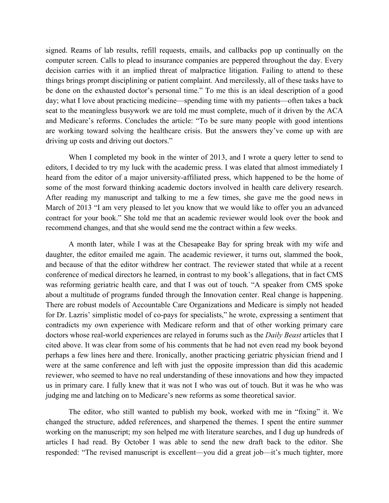signed. Reams of lab results, refill requests, emails, and callbacks pop up continually on the computer screen. Calls to plead to insurance companies are peppered throughout the day. Every decision carries with it an implied threat of malpractice litigation. Failing to attend to these things brings prompt disciplining or patient complaint. And mercilessly, all of these tasks have to be done on the exhausted doctor's personal time." To me this is an ideal description of a good day; what I love about practicing medicine—spending time with my patients—often takes a back seat to the meaningless busywork we are told me must complete, much of it driven by the ACA and Medicare's reforms. Concludes the article: "To be sure many people with good intentions are working toward solving the healthcare crisis. But the answers they've come up with are driving up costs and driving out doctors."

When I completed my book in the winter of 2013, and I wrote a query letter to send to editors, I decided to try my luck with the academic press. I was elated that almost immediately I heard from the editor of a major university-affiliated press, which happened to be the home of some of the most forward thinking academic doctors involved in health care delivery research. After reading my manuscript and talking to me a few times, she gave me the good news in March of 2013 "I am very pleased to let you know that we would like to offer you an advanced contract for your book." She told me that an academic reviewer would look over the book and recommend changes, and that she would send me the contract within a few weeks.

A month later, while I was at the Chesapeake Bay for spring break with my wife and daughter, the editor emailed me again. The academic reviewer, it turns out, slammed the book, and because of that the editor withdrew her contract. The reviewer stated that while at a recent conference of medical directors he learned, in contrast to my book's allegations, that in fact CMS was reforming geriatric health care, and that I was out of touch. "A speaker from CMS spoke about a multitude of programs funded through the Innovation center. Real change is happening. There are robust models of Accountable Care Organizations and Medicare is simply not headed for Dr. Lazris' simplistic model of co-pays for specialists," he wrote, expressing a sentiment that contradicts my own experience with Medicare reform and that of other working primary care doctors whose real-world experiences are relayed in forums such as the *Daily Beast* articles that I cited above. It was clear from some of his comments that he had not even read my book beyond perhaps a few lines here and there. Ironically, another practicing geriatric physician friend and I were at the same conference and left with just the opposite impression than did this academic reviewer, who seemed to have no real understanding of these innovations and how they impacted us in primary care. I fully knew that it was not I who was out of touch. But it was he who was judging me and latching on to Medicare's new reforms as some theoretical savior.

The editor, who still wanted to publish my book, worked with me in "fixing" it. We changed the structure, added references, and sharpened the themes. I spent the entire summer working on the manuscript; my son helped me with literature searches, and I dug up hundreds of articles I had read. By October I was able to send the new draft back to the editor. She responded: "The revised manuscript is excellent—you did a great job—it's much tighter, more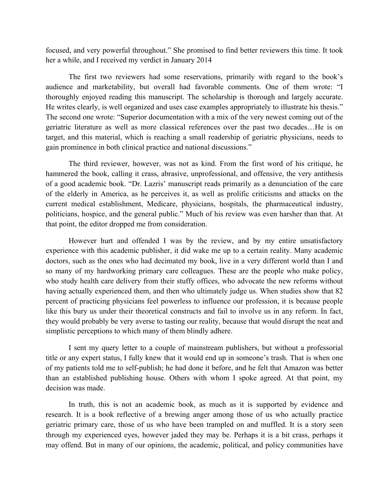focused, and very powerful throughout." She promised to find better reviewers this time. It took her a while, and I received my verdict in January 2014

The first two reviewers had some reservations, primarily with regard to the book's audience and marketability, but overall had favorable comments. One of them wrote: "I thoroughly enjoyed reading this manuscript. The scholarship is thorough and largely accurate. He writes clearly, is well organized and uses case examples appropriately to illustrate his thesis." The second one wrote: "Superior documentation with a mix of the very newest coming out of the geriatric literature as well as more classical references over the past two decades…He is on target, and this material, which is reaching a small readership of geriatric physicians, needs to gain prominence in both clinical practice and national discussions."

The third reviewer, however, was not as kind. From the first word of his critique, he hammered the book, calling it crass, abrasive, unprofessional, and offensive, the very antithesis of a good academic book. "Dr. Lazris' manuscript reads primarily as a denunciation of the care of the elderly in America, as he perceives it, as well as prolific criticisms and attacks on the current medical establishment, Medicare, physicians, hospitals, the pharmaceutical industry, politicians, hospice, and the general public." Much of his review was even harsher than that. At that point, the editor dropped me from consideration.

However hurt and offended I was by the review, and by my entire unsatisfactory experience with this academic publisher, it did wake me up to a certain reality. Many academic doctors, such as the ones who had decimated my book, live in a very different world than I and so many of my hardworking primary care colleagues. These are the people who make policy, who study health care delivery from their stuffy offices, who advocate the new reforms without having actually experienced them, and then who ultimately judge us. When studies show that 82 percent of practicing physicians feel powerless to influence our profession, it is because people like this bury us under their theoretical constructs and fail to involve us in any reform. In fact, they would probably be very averse to tasting our reality, because that would disrupt the neat and simplistic perceptions to which many of them blindly adhere.

I sent my query letter to a couple of mainstream publishers, but without a professorial title or any expert status, I fully knew that it would end up in someone's trash. That is when one of my patients told me to self-publish; he had done it before, and he felt that Amazon was better than an established publishing house. Others with whom I spoke agreed. At that point, my decision was made.

In truth, this is not an academic book, as much as it is supported by evidence and research. It is a book reflective of a brewing anger among those of us who actually practice geriatric primary care, those of us who have been trampled on and muffled. It is a story seen through my experienced eyes, however jaded they may be. Perhaps it is a bit crass, perhaps it may offend. But in many of our opinions, the academic, political, and policy communities have